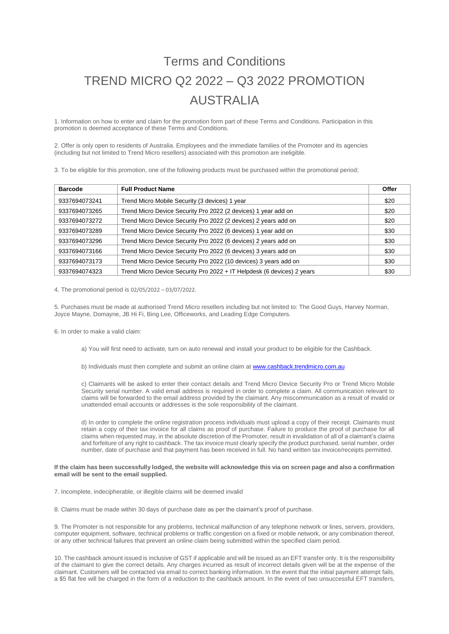## Terms and Conditions TREND MICRO Q2 2022 – Q3 2022 PROMOTION AUSTRALIA

1. Information on how to enter and claim for the promotion form part of these Terms and Conditions. Participation in this promotion is deemed acceptance of these Terms and Conditions.

2. Offer is only open to residents of Australia. Employees and the immediate families of the Promoter and its agencies (including but not limited to Trend Micro resellers) associated with this promotion are ineligible.

3. To be eligible for this promotion, one of the following products must be purchased within the promotional period;

| <b>Barcode</b> | <b>Full Product Name</b>                                               | Offer |
|----------------|------------------------------------------------------------------------|-------|
| 9337694073241  | Trend Micro Mobile Security (3 devices) 1 year                         | \$20  |
| 9337694073265  | Trend Micro Device Security Pro 2022 (2 devices) 1 year add on         | \$20  |
| 9337694073272  | Trend Micro Device Security Pro 2022 (2 devices) 2 years add on        | \$20  |
| 9337694073289  | Trend Micro Device Security Pro 2022 (6 devices) 1 year add on         | \$30  |
| 9337694073296  | Trend Micro Device Security Pro 2022 (6 devices) 2 years add on        | \$30  |
| 9337694073166  | Trend Micro Device Security Pro 2022 (6 devices) 3 years add on        | \$30  |
| 9337694073173  | Trend Micro Device Security Pro 2022 (10 devices) 3 years add on       | \$30  |
| 9337694074323  | Trend Micro Device Security Pro 2022 + IT Helpdesk (6 devices) 2 years | \$30  |

4. The promotional period is 02/05/2022 – 03/07/2022.

5. Purchases must be made at authorised Trend Micro resellers including but not limited to: The Good Guys, Harvey Norman, Joyce Mayne, Domayne, JB Hi Fi, Bing Lee, Officeworks, and Leading Edge Computers.

6. In order to make a valid claim:

- a) You will first need to activate, turn on auto renewal and install your product to be eligible for the Cashback.
- b) Individuals must then complete and submit an online claim a[t www.cashback.trendmicro.com.au](http://www.cashback.trendmicro.com.au/)

c) Claimants will be asked to enter their contact details and Trend Micro Device Security Pro or Trend Micro Mobile Security serial number. A valid email address is required in order to complete a claim. All communication relevant to claims will be forwarded to the email address provided by the claimant. Any miscommunication as a result of invalid or unattended email accounts or addresses is the sole responsibility of the claimant.

d) In order to complete the online registration process individuals must upload a copy of their receipt. Claimants must retain a copy of their tax invoice for all claims as proof of purchase. Failure to produce the proof of purchase for all claims when requested may, in the absolute discretion of the Promoter, result in invalidation of all of a claimant's claims and forfeiture of any right to cashback. The tax invoice must clearly specify the product purchased, serial number, order number, date of purchase and that payment has been received in full. No hand written tax invoice/receipts permitted.

## **If the claim has been successfully lodged, the website will acknowledge this via on screen page and also a confirmation email will be sent to the email supplied.**

7. Incomplete, indecipherable, or illegible claims will be deemed invalid

8. Claims must be made within 30 days of purchase date as per the claimant's proof of purchase.

9. The Promoter is not responsible for any problems, technical malfunction of any telephone network or lines, servers, providers, computer equipment, software, technical problems or traffic congestion on a fixed or mobile network, or any combination thereof, or any other technical failures that prevent an online claim being submitted within the specified claim period.

10. The cashback amount issued is inclusive of GST if applicable and will be issued as an EFT transfer only. It is the responsibility of the claimant to give the correct details. Any charges incurred as result of incorrect details given will be at the expense of the claimant. Customers will be contacted via email to correct banking information. In the event that the initial payment attempt fails, a \$5 flat fee will be charged in the form of a reduction to the cashback amount. In the event of two unsuccessful EFT transfers,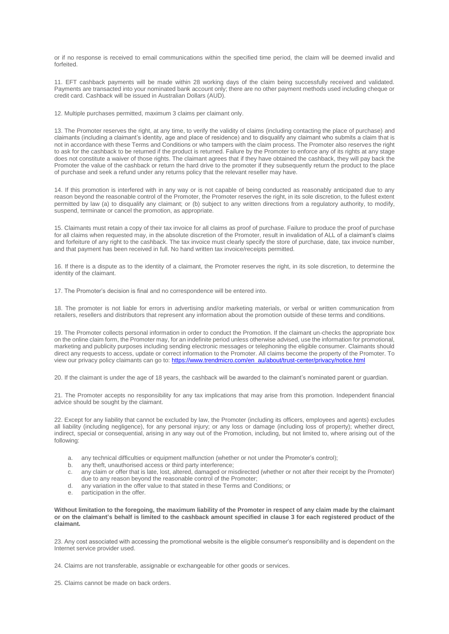or if no response is received to email communications within the specified time period, the claim will be deemed invalid and forfeited.

11. EFT cashback payments will be made within 28 working days of the claim being successfully received and validated. Payments are transacted into your nominated bank account only; there are no other payment methods used including cheque or credit card. Cashback will be issued in Australian Dollars (AUD).

12. Multiple purchases permitted, maximum 3 claims per claimant only.

13. The Promoter reserves the right, at any time, to verify the validity of claims (including contacting the place of purchase) and claimants (including a claimant's identity, age and place of residence) and to disqualify any claimant who submits a claim that is not in accordance with these Terms and Conditions or who tampers with the claim process. The Promoter also reserves the right to ask for the cashback to be returned if the product is returned. Failure by the Promoter to enforce any of its rights at any stage does not constitute a waiver of those rights. The claimant agrees that if they have obtained the cashback, they will pay back the Promoter the value of the cashback or return the hard drive to the promoter if they subsequently return the product to the place of purchase and seek a refund under any returns policy that the relevant reseller may have.

14. If this promotion is interfered with in any way or is not capable of being conducted as reasonably anticipated due to any reason beyond the reasonable control of the Promoter, the Promoter reserves the right, in its sole discretion, to the fullest extent permitted by law (a) to disqualify any claimant; or (b) subject to any written directions from a regulatory authority, to modify, suspend, terminate or cancel the promotion, as appropriate.

15. Claimants must retain a copy of their tax invoice for all claims as proof of purchase. Failure to produce the proof of purchase for all claims when requested may, in the absolute discretion of the Promoter, result in invalidation of ALL of a claimant's claims and forfeiture of any right to the cashback. The tax invoice must clearly specify the store of purchase, date, tax invoice number, and that payment has been received in full. No hand written tax invoice/receipts permitted.

16. If there is a dispute as to the identity of a claimant, the Promoter reserves the right, in its sole discretion, to determine the identity of the claimant.

17. The Promoter's decision is final and no correspondence will be entered into.

18. The promoter is not liable for errors in advertising and/or marketing materials, or verbal or written communication from retailers, resellers and distributors that represent any information about the promotion outside of these terms and conditions.

19. The Promoter collects personal information in order to conduct the Promotion. If the claimant un-checks the appropriate box on the online claim form, the Promoter may, for an indefinite period unless otherwise advised, use the information for promotional, marketing and publicity purposes including sending electronic messages or telephoning the eligible consumer. Claimants should direct any requests to access, update or correct information to the Promoter. All claims become the property of the Promoter. To view our privacy policy claimants can go to[: https://www.trendmicro.com/en\\_au/about/trust-center/privacy/notice.html](https://www.trendmicro.com/en_au/about/trust-center/privacy/notice.html)

20. If the claimant is under the age of 18 years, the cashback will be awarded to the claimant's nominated parent or guardian.

21. The Promoter accepts no responsibility for any tax implications that may arise from this promotion. Independent financial advice should be sought by the claimant.

22. Except for any liability that cannot be excluded by law, the Promoter (including its officers, employees and agents) excludes all liability (including negligence), for any personal injury; or any loss or damage (including loss of property); whether direct, indirect, special or consequential, arising in any way out of the Promotion, including, but not limited to, where arising out of the following:

- a. any technical difficulties or equipment malfunction (whether or not under the Promoter's control);
- b. any theft, unauthorised access or third party interference;<br>c. any claim or offer that is late, lost, altered, damaged or mi
- any claim or offer that is late, lost, altered, damaged or misdirected (whether or not after their receipt by the Promoter) due to any reason beyond the reasonable control of the Promoter;
- d. any variation in the offer value to that stated in these Terms and Conditions; or
- participation in the offer.

**Without limitation to the foregoing, the maximum liability of the Promoter in respect of any claim made by the claimant or on the claimant's behalf is limited to the cashback amount specified in clause 3 for each registered product of the claimant.**

23. Any cost associated with accessing the promotional website is the eligible consumer's responsibility and is dependent on the Internet service provider used.

24. Claims are not transferable, assignable or exchangeable for other goods or services.

25. Claims cannot be made on back orders.